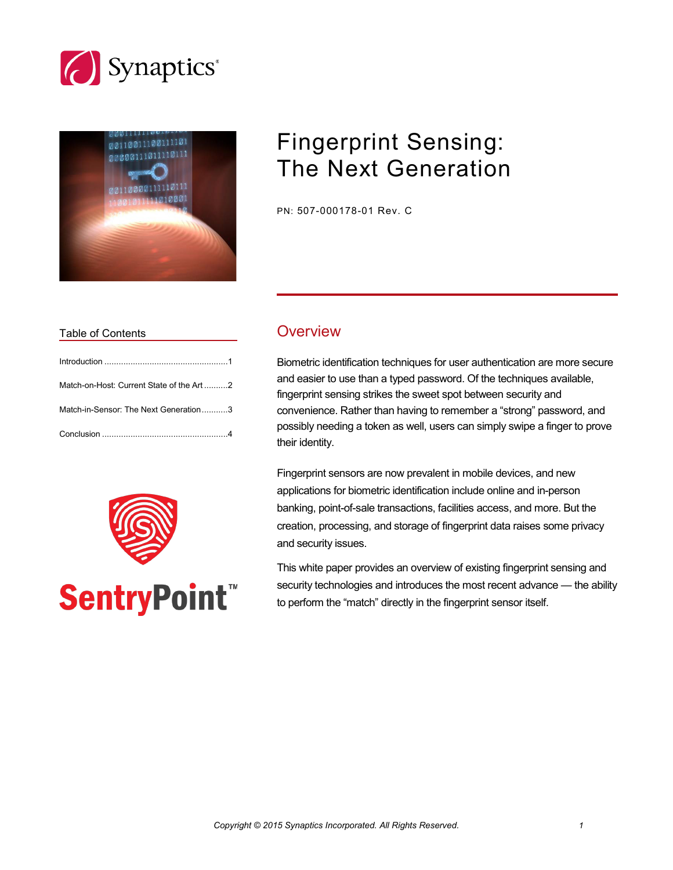



# Fingerprint Sensing: The Next Generation

PN: 507-000178-01 Rev. C

# Table of Contents **COVER COVER COVER**

| Match-on-Host: Current State of the Art2 |  |
|------------------------------------------|--|
| Match-in-Sensor: The Next Generation3    |  |
|                                          |  |



**SentryPoint™** 

Biometric identification techniques for user authentication are more secure and easier to use than a typed password. Of the techniques available, fingerprint sensing strikes the sweet spot between security and convenience. Rather than having to remember a "strong" password, and possibly needing a token as well, users can simply swipe a finger to prove their identity.

Fingerprint sensors are now prevalent in mobile devices, and new applications for biometric identification include online and in-person banking, point-of-sale transactions, facilities access, and more. But the creation, processing, and storage of fingerprint data raises some privacy and security issues.

This white paper provides an overview of existing fingerprint sensing and security technologies and introduces the most recent advance - the ability to perform the "match" directly in the fingerprint sensor itself.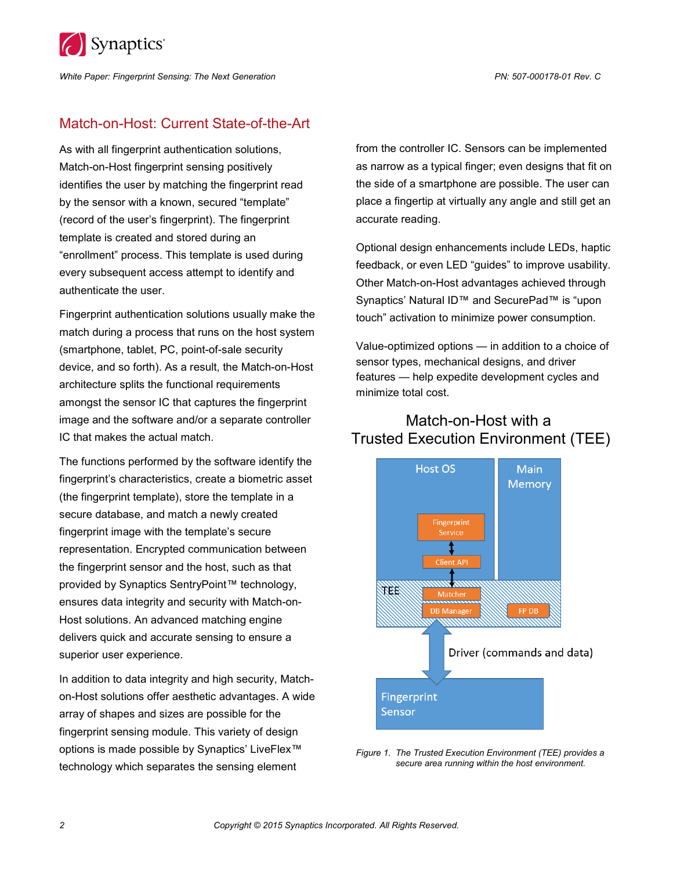

*White Paper: Fingerprint Sensing: The Next Generation PN: 507-000178-01 Rev. C*

### Match-on-Host: Current State-of-the-Art

As with all fingerprint authentication solutions, Match-on-Host fingerprint sensing positively identifies the user by matching the fingerprint read by the sensor with a known, secured "template" (record of the user's fingerprint). The fingerprint template is created and stored during an "enrollment" process. This template is used during every subsequent access attempt to identify and authenticate the user.

Fingerprint authentication solutions usually make the match during a process that runs on the host system (smartphone, tablet, PC, point-of-sale security device, and so forth). As a result, the Match-on-Host architecture splits the functional requirements amongst the sensor IC that captures the fingerprint image and the software and/or a separate controller IC that makes the actual match.

The functions performed by the software identify the fingerprint's characteristics, create a biometric asset (the fingerprint template), store the template in a secure database, and match a newly created fingerprint image with the template's secure representation. Encrypted communication between the fingerprint sensor and the host, such as that provided by Synaptics SentryPoint™ technology, ensures data integrity and security with Match-on-Host solutions. An advanced matching engine delivers quick and accurate sensing to ensure a superior user experience.

In addition to data integrity and high security, Matchon-Host solutions offer aesthetic advantages. A wide array of shapes and sizes are possible for the fingerprint sensing module. This variety of design options is made possible by Synaptics' LiveFlex™ technology which separates the sensing element

from the controller IC. Sensors can be implemented as narrow as a typical finger; even designs that fit on the side of a smartphone are possible. The user can place a fingertip at virtually any angle and still get an accurate reading.

Optional design enhancements include LEDs, haptic feedback, or even LED "guides" to improve usability. Other Match-on-Host advantages achieved through Synaptics' Natural ID™ and SecurePad™ is "upon touch" activation to minimize power consumption.

Value-optimized options — in addition to a choice of sensor types, mechanical designs, and driver features — help expedite development cycles and minimize total cost.

# Match-on-Host with a Trusted Execution Environment (TEE)



*Figure 1. The Trusted Execution Environment (TEE) provides a secure area running within the host environment.*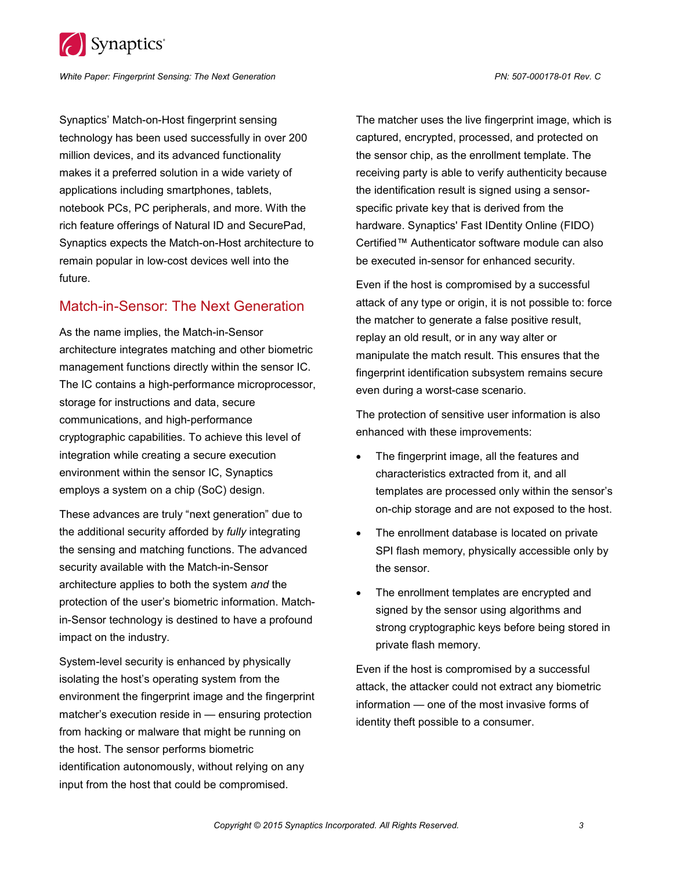

*White Paper: Fingerprint Sensing: The Next Generation PN: 507-000178-01 Rev. C*

Synaptics' Match-on-Host fingerprint sensing technology has been used successfully in over 200 million devices, and its advanced functionality makes it a preferred solution in a wide variety of applications including smartphones, tablets, notebook PCs, PC peripherals, and more. With the rich feature offerings of Natural ID and SecurePad, Synaptics expects the Match-on-Host architecture to remain popular in low-cost devices well into the future.

#### Match-in-Sensor: The Next Generation

As the name implies, the Match-in-Sensor architecture integrates matching and other biometric management functions directly within the sensor IC. The IC contains a high-performance microprocessor, storage for instructions and data, secure communications, and high-performance cryptographic capabilities. To achieve this level of integration while creating a secure execution environment within the sensor IC, Synaptics employs a system on a chip (SoC) design.

These advances are truly "next generation" due to the additional security afforded by *fully* integrating the sensing and matching functions. The advanced security available with the Match-in-Sensor architecture applies to both the system *and* the protection of the user's biometric information. Matchin-Sensor technology is destined to have a profound impact on the industry.

System-level security is enhanced by physically isolating the host's operating system from the environment the fingerprint image and the fingerprint matcher's execution reside in — ensuring protection from hacking or malware that might be running on the host. The sensor performs biometric identification autonomously, without relying on any input from the host that could be compromised.

The matcher uses the live fingerprint image, which is captured, encrypted, processed, and protected on the sensor chip, as the enrollment template. The receiving party is able to verify authenticity because the identification result is signed using a sensorspecific private key that is derived from the hardware. Synaptics' Fast IDentity Online (FIDO) Certified™ Authenticator software module can also be executed in-sensor for enhanced security.

Even if the host is compromised by a successful attack of any type or origin, it is not possible to: force the matcher to generate a false positive result, replay an old result, or in any way alter or manipulate the match result. This ensures that the fingerprint identification subsystem remains secure even during a worst-case scenario.

The protection of sensitive user information is also enhanced with these improvements:

- The fingerprint image, all the features and characteristics extracted from it, and all templates are processed only within the sensor's on-chip storage and are not exposed to the host.
- The enrollment database is located on private SPI flash memory, physically accessible only by the sensor.
- The enrollment templates are encrypted and signed by the sensor using algorithms and strong cryptographic keys before being stored in private flash memory.

Even if the host is compromised by a successful attack, the attacker could not extract any biometric information — one of the most invasive forms of identity theft possible to a consumer.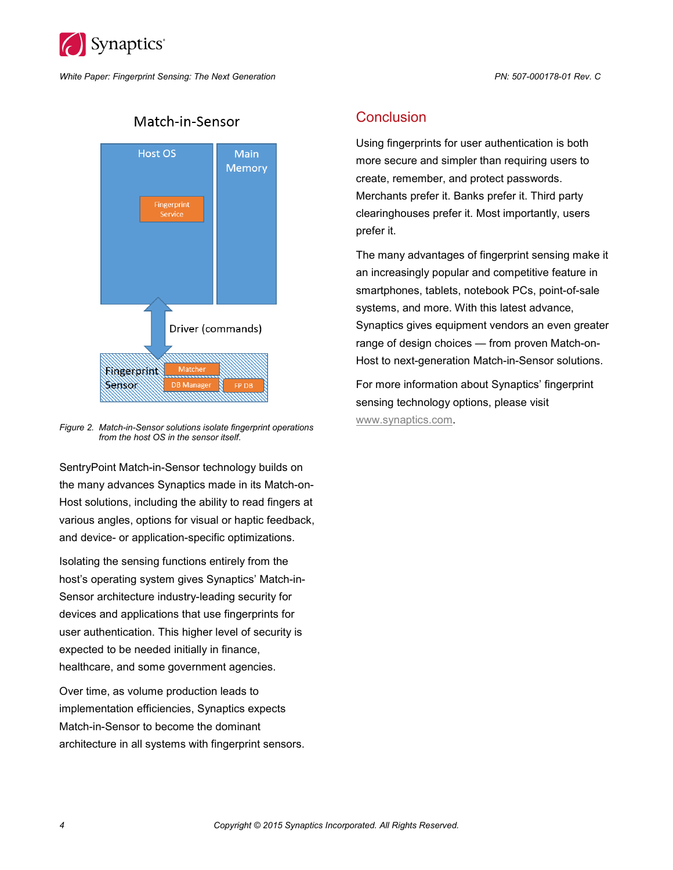

*White Paper: Fingerprint Sensing: The Next Generation PN: 507-000178-01 Rev. C*



# Match-in-Sensor

*Figure 2. Match-in-Sensor solutions isolate fingerprint operations from the host OS in the sensor itself.*

SentryPoint Match-in-Sensor technology builds on the many advances Synaptics made in its Match-on-Host solutions, including the ability to read fingers at various angles, options for visual or haptic feedback, and device- or application-specific optimizations.

Isolating the sensing functions entirely from the host's operating system gives Synaptics' Match-in-Sensor architecture industry-leading security for devices and applications that use fingerprints for user authentication. This higher level of security is expected to be needed initially in finance, healthcare, and some government agencies.

Over time, as volume production leads to implementation efficiencies, Synaptics expects Match-in-Sensor to become the dominant architecture in all systems with fingerprint sensors.

#### **Conclusion**

Using fingerprints for user authentication is both more secure and simpler than requiring users to create, remember, and protect passwords. Merchants prefer it. Banks prefer it. Third party clearinghouses prefer it. Most importantly, users prefer it.

The many advantages of fingerprint sensing make it an increasingly popular and competitive feature in smartphones, tablets, notebook PCs, point-of-sale systems, and more. With this latest advance, Synaptics gives equipment vendors an even greater range of design choices — from proven Match-on-Host to next-generation Match-in-Sensor solutions.

For more information about Synaptics' fingerprint sensing technology options, please visit [www.synaptics.com.](http://www.synaptics.com/)